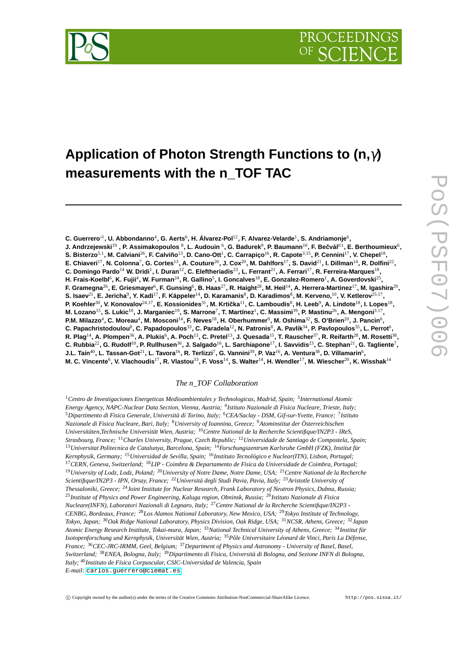



# **Application of Photon Strength Functions to (n,**γ**) measurements with the n\_TOF TAC**

**C. Guerrero**∗<sup>1</sup> **, U. Abbondanno**<sup>4</sup> **, G. Aerts**<sup>6</sup> **, H. Álvarez-Pol**12**, F. Alvarez-Velarde**<sup>1</sup> **, S. Andriamonje**<sup>6</sup> **,**  $\bf J.$  Andrzejewski $^{19}$  , P. Assimakopoulos  $^8$ , L. Audouin  $^6$ , G. Badurek $^9$ , P. Baumann $^{10}$ , F. Bečvář $^{11}$ , E. Berthoumieux $^6$ , **S. Bisterzo**5,<sup>1</sup> **, M. Calviani**26**, F. Calviño**13**, D. Cano-Ott**<sup>1</sup> **, C. Carrapiço**16**, R. Capote**3,15**, P. Cennini**17**, V. Chepel**<sup>18</sup> **, E. Chiaveri**17**, N. Colonna**<sup>7</sup> **, G. Cortes**13**, A. Couture**20**, J. Cox**20**, M. Dahlfors**17**, S. David**21**, I. Dillman**14**, R. Dolfini**<sup>22</sup> **, C. Domingo Pardo**<sup>14</sup> **W. Dridi**<sup>1</sup> **, I. Duran**12**, C. Eleftheriadis**23**, L. Ferrant**21**, A. Ferrari**17**, R. Ferreira-Marques**<sup>18</sup> **,** H. Frais-Koelbl<sup>6</sup>, K. Fujii<sup>4</sup>, W. Furman<sup>24</sup>, R. Gallino<sup>5</sup>, I. Goncalves<sup>18</sup>, E. Gonzalez-Romero<sup>1</sup>, A. Goverdovski<sup>25</sup>, **F. Gramegna**26**, E. Griesmayer**<sup>6</sup> **, F. Gunsing**<sup>6</sup> **, B. Haas**27**, R. Haight**28**, M. Heil**14**, A. Herrera-Martinez**17**, M. Igashira**<sup>29</sup> **,**  $\,$ S. Isaev $^{21}$ , E. Jericha $^9$ , Y. Kadi $^{17}$ , F. Käppeler $^{14}$ , D. Karamanis $^8$ , D. Karadimos $^8$ , M. Kerveno, $^{10}$ , V. Ketlerov $^{25,17}$ , **P. Koehler**30**, V. Konovalov**24,17**, E. Kossionides**31**, M. Krticka ˇ** <sup>11</sup>**, C. Lamboudis**<sup>8</sup> **, H. Leeb**<sup>9</sup> **, A. Lindote**18**, I. Lopes**<sup>18</sup> **, M. Lozano**15**, S. Lukic**10**, J. Marganiec**19**, S. Marrone**<sup>7</sup> **, T. Martínez**<sup>1</sup> **, C. Massimi**39**, P. Mastinu**26**, A. Mengoni**3,<sup>17</sup> **, P.M. Milazzo**<sup>4</sup> **, C. Moreau**<sup>4</sup> **, M. Mosconi**14**, F. Neves**18**, H. Oberhummer**<sup>9</sup> **, M. Oshima**32**, S. O'Brien**20**, J. Pancin**<sup>6</sup> **, C. Papachristodoulou**<sup>8</sup> **, C. Papadopoulos**33**, C. Paradela**12**, N. Patronis**<sup>8</sup> **, A. Pavlik**34**, P. Pavlopoulos**35**, L. Perrot**<sup>6</sup> **,**  $\bm{\mathsf{R}}.\ \bm{\mathsf{Plag}}^{14}$ , A. Plompen $^{36}$ , A. Plukis $^6$ , A. Poch $^{13}$ , C. Pretel $^{13}$ , J. Quesada $^{15}$ , T. Rauscher $^{37}$ , R. Reifarth $^{28}$ , M. Rosetti $^{38}$ , **C. Rubbia**22**, G. Rudolf**10**, P. Rullhusen**36**, J. Salgado**16**, L. Sarchiapone**17**, I. Savvidis**23**, C. Stephan**21**, G. Tagliente**<sup>7</sup> **, J.L. Tain**40**, L. Tassan-Got**21**, L. Tavora**16**, R. Terlizzi**<sup>7</sup> **, G. Vannini**39**, P. Vaz**16**, A. Ventura**38**, D. Villamarin**<sup>6</sup> **, M. C. Vincente**<sup>6</sup> **, V. Vlachoudis**17**, R. Vlastou**33**, F. Voss**14**, S. Walter**14**, H. Wendler**17**, M. Wiescher**20**, K. Wisshak**<sup>14</sup>

#### *The n\_TOF Collaboration*

<sup>1</sup>*Centro de Investigaciones Energeticas Medioambientales y Technologicas, Madrid, Spain;* <sup>3</sup> *International Atomic Energy Agency, NAPC-Nuclear Data Section, Vienna, Austria;* <sup>4</sup> *Istituto Nazionale di Fisica Nucleare, Trieste, Italy;* <sup>5</sup>*Dipartimento di Fisica Generale, Università di Torino, Italy;* <sup>6</sup>*CEA/Saclay - DSM, Gif-sur-Yvette, France;* <sup>7</sup> *Istituto Nazionale di Fisica Nucleare, Bari, Italy;* <sup>8</sup>*University of Ioannina, Greece;* <sup>9</sup>*Atominstitut der Österreichischen Universitäten,Technische Universität Wien, Austria;* <sup>10</sup>*Centre National de la Recherche Scientifique/IN2P3 - IReS, Strasbourg, France;* <sup>11</sup>*Charles University, Prague, Czech Republic;* <sup>12</sup>*Universidade de Santiago de Compostela, Spain;* <sup>13</sup>*Universitat Politecnica de Catalunya, Barcelona, Spain;* <sup>14</sup>*Forschungszentrum Karlsruhe GmbH (FZK), Institut für Kernphysik, Germany;* <sup>15</sup>*Universidad de Sevilla, Spain;* <sup>16</sup>*Instituto Tecnológico e Nuclear(ITN), Lisbon, Portugal;* <sup>17</sup>*CERN, Geneva, Switzerland;* <sup>18</sup>*LIP - Coimbra & Departamento de Fisica da Universidade de Coimbra, Portugal;* <sup>19</sup>*University of Lodz, Lodz, Poland;* <sup>20</sup>*University of Notre Dame, Notre Dame, USA;* <sup>21</sup>*Centre National de la Recherche Scientifique/IN2P3 - IPN, Orsay, France;* <sup>22</sup>*Università degli Studi Pavia, Pavia, Italy;* <sup>23</sup>*Aristotle University of Thessaloniki, Greece;* <sup>24</sup>*Joint Institute for Nuclear Research, Frank Laboratory of Neutron Physics, Dubna, Russia;* <sup>25</sup>*Institute of Physics and Power Engineering, Kaluga region, Obninsk, Russia;* <sup>26</sup>*Istituto Nazionale di Fisica Nucleare(INFN), Laboratori Nazionali di Legnaro, Italy;* <sup>27</sup>*Centre National de la Recherche Scientifique/IN2P3 - CENBG, Bordeaux, France;* <sup>28</sup>*Los Alamos National Laboratory, New Mexico, USA;* <sup>29</sup>*Tokyo Institute of Technology, Tokyo, Japan;* <sup>30</sup>*Oak Ridge National Laboratory, Physics Division, Oak Ridge, USA;* <sup>31</sup>*NCSR, Athens, Greece;* <sup>32</sup>*Japan Atomic Energy Research Institute, Tokai-mura, Japan;* <sup>33</sup>*National Technical University of Athens, Greece;* <sup>34</sup>*Institut für Isotopenforschung und Kernphysik, Universität Wien, Austria;* <sup>35</sup>*Pôle Universitaire Léonard de Vinci, Paris La Défense, France;* <sup>36</sup>*CEC-JRC-IRMM, Geel, Belgium;* <sup>37</sup>*Department of Physics and Astronomy - University of Basel, Basel, Switzerland;* <sup>38</sup>*ENEA, Bologna, Italy;* <sup>39</sup>*Dipartimento di Fisica, Università di Bologna, and Sezione INFN di Bologna, Italy;* <sup>40</sup>*Instituto de Física Corpuscular, CSIC-Universidad de Valencia, Spain E-mail:* [carlos.guerrero@ciemat.es](mailto:carlos.guerrero@ciemat.es)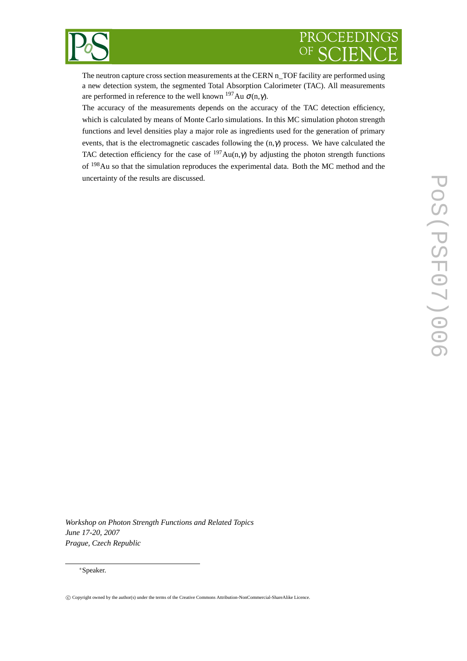

The neutron capture cross section measurements at the CERN n\_TOF facility are performed using a new detection system, the segmented Total Absorption Calorimeter (TAC). All measurements are performed in reference to the well known  $197$ Au  $\sigma(n,\gamma)$ .

The accuracy of the measurements depends on the accuracy of the TAC detection efficiency, which is calculated by means of Monte Carlo simulations. In this MC simulation photon strength functions and level densities play a major role as ingredients used for the generation of primary events, that is the electromagnetic cascades following the  $(n, \gamma)$  process. We have calculated the TAC detection efficiency for the case of  $197Au(n,\gamma)$  by adjusting the photon strength functions of <sup>198</sup>Au so that the simulation reproduces the experimental data. Both the MC method and the uncertainty of the results are discussed.

*Workshop on Photon Strength Functions and Related Topics June 17-20, 2007 Prague, Czech Republic*

#### <sup>∗</sup>Speaker.

<sup>°</sup>c Copyright owned by the author(s) under the terms of the Creative Commons Attribution-NonCommercial-ShareAlike Licence.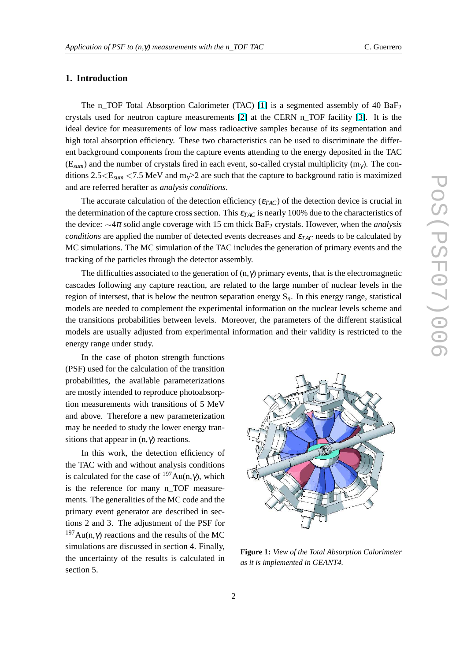## <span id="page-2-0"></span>**1. Introduction**

The n\_TOF Total Absorption Calorimeter (TAC) [\[1\]](#page-8-0) is a segmented assembly of 40 BaF<sub>2</sub> crystals used for neutron capture measurements [\[2\]](#page-8-0) at the CERN n\_TOF facility [\[3\]](#page-8-0). It is the ideal device for measurements of low mass radioactive samples because of its segmentation and high total absorption efficiency. These two characteristics can be used to discriminate the different background components from the capture events attending to the energy deposited in the TAC  $(E_{sum})$  and the number of crystals fired in each event, so-called crystal multiplicity  $(m<sub>\gamma</sub>)$ . The conditions  $2.5 \leq E_{sum}$  <7.5 MeV and m<sub>γ</sub>>2 are such that the capture to background ratio is maximized and are referred herafter as *analysis conditions*.

The accurate calculation of the detection efficiency (<sup>ε</sup>*TAC*) of the detection device is crucial in the determination of the capture cross section. This  $\varepsilon_{TAC}$  is nearly 100% due to the characteristics of the device: ∼4<sup>π</sup> solid angle coverage with 15 cm thick BaF<sup>2</sup> crystals. However, when the *analysis conditions* are applied the number of detected events decreases and  $\varepsilon_{TAC}$  needs to be calculated by MC simulations. The MC simulation of the TAC includes the generation of primary events and the tracking of the particles through the detector assembly.

The difficulties associated to the generation of  $(n, \gamma)$  primary events, that is the electromagnetic cascades following any capture reaction, are related to the large number of nuclear levels in the region of intersest, that is below the neutron separation energy S*n*. In this energy range, statistical models are needed to complement the experimental information on the nuclear levels scheme and the transitions probabilities between levels. Moreover, the parameters of the different statistical models are usually adjusted from experimental information and their validity is restricted to the energy range under study.

In the case of photon strength functions (PSF) used for the calculation of the transition probabilities, the available parameterizations are mostly intended to reproduce photoabsorption measurements with transitions of 5 MeV and above. Therefore a new parameterization may be needed to study the lower energy transitions that appear in  $(n, \gamma)$  reactions.

In this work, the detection efficiency of the TAC with and without analysis conditions is calculated for the case of  $197Au(n,\gamma)$ , which is the reference for many n\_TOF measurements. The generalities of the MC code and the primary event generator are described in sections 2 and 3. The adjustment of the PSF for  $197$ Au(n,γ) reactions and the results of the MC simulations are discussed in section 4. Finally, the uncertainty of the results is calculated in section 5.



**Figure 1:** *View of the Total Absorption Calorimeter as it is implemented in GEANT4.*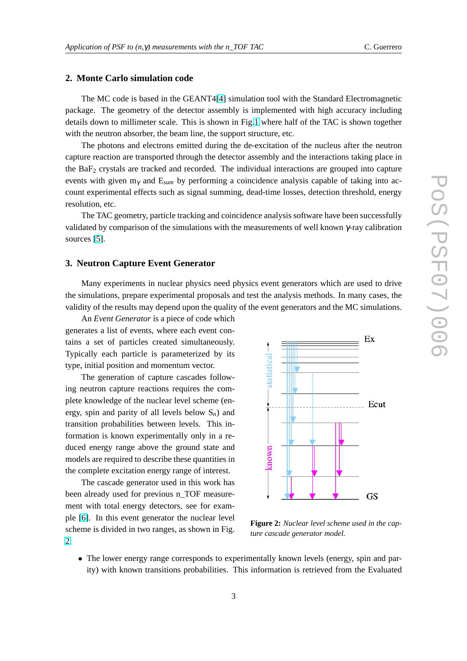## **2. Monte Carlo simulation code**

The MC code is based in the GEANT4[\[4\]](#page-8-0) simulation tool with the Standard Electromagnetic package. The geometry of the detector assembly is implemented with high accuracy including details down to millimeter scale. This is shown in Fig[.1](#page-2-0) where half of the TAC is shown together with the neutron absorber, the beam line, the support structure, etc.

The photons and electrons emitted during the de-excitation of the nucleus after the neutron capture reaction are transported through the detector assembly and the interactions taking place in the BaF<sup>2</sup> crystals are tracked and recorded. The individual interactions are grouped into capture events with given m<sup>γ</sup> and E*sum* by performing a coincidence analysis capable of taking into account experimental effects such as signal summing, dead-time losses, detection threshold, energy resolution, etc.

The TAC geometry, particle tracking and coincidence analysis software have been successfully validated by comparison of the simulations with the measurements of well known  $\gamma$ -ray calibration sources [\[5\]](#page-8-0).

### **3. Neutron Capture Event Generator**

Many experiments in nuclear physics need physics event generators which are used to drive the simulations, prepare experimental proposals and test the analysis methods. In many cases, the validity of the results may depend upon the quality of the event generators and the MC simulations.

An *Event Generator* is a piece of code which generates a list of events, where each event contains a set of particles created simultaneously. Typically each particle is parameterized by its type, initial position and momentum vector.

The generation of capture cascades following neutron capture reactions requires the complete knowledge of the nuclear level scheme (energy, spin and parity of all levels below S*n*) and transition probabilities between levels. This information is known experimentally only in a reduced energy range above the ground state and models are required to describe these quantities in the complete excitation energy range of interest.

The cascade generator used in this work has been already used for previous n\_TOF measurement with total energy detectors, see for example [\[6\]](#page-8-0). In this event generator the nuclear level scheme is divided in two ranges, as shown in Fig. 2:



**Figure 2:** *Nuclear level scheme used in the capture cascade generator model.*

• The lower energy range corresponds to experimentally known levels (energy, spin and parity) with known transitions probabilities. This information is retrieved from the Evaluated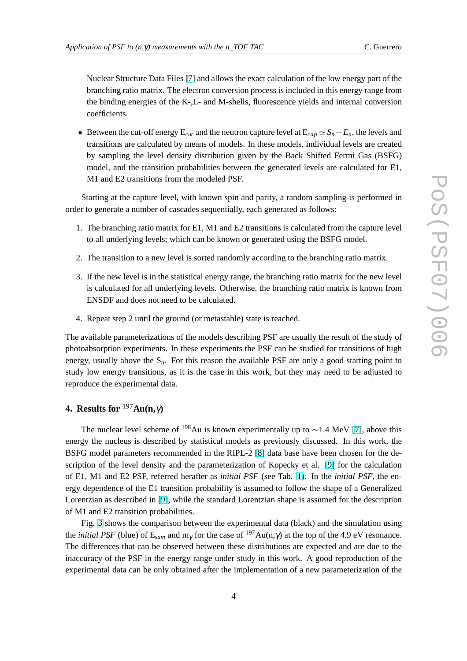Nuclear Structure Data Files [\[7\]](#page-8-0) and allows the exact calculation of the low energy part of the branching ratio matrix. The electron conversion process is included in this energy range from the binding energies of the K-,L- and M-shells, fluorescence yields and internal conversion coefficients.

• Between the cut-off energy  $E_{cut}$  and the neutron capture level at  $E_{cap} \simeq S_n + E_n$ , the levels and transitions are calculated by means of models. In these models, individual levels are created by sampling the level density distribution given by the Back Shifted Fermi Gas (BSFG) model, and the transition probabilities between the generated levels are calculated for E1, M1 and E2 transitions from the modeled PSF.

Starting at the capture level, with known spin and parity, a random sampling is performed in order to generate a number of cascades sequentially, each generated as follows:

- 1. The branching ratio matrix for E1, M1 and E2 transitions is calculated from the capture level to all underlying levels; which can be known or generated using the BSFG model.
- 2. The transition to a new level is sorted randomly according to the branching ratio matrix.
- 3. If the new level is in the statistical energy range, the branching ratio matrix for the new level is calculated for all underlying levels. Otherwise, the branching ratio matrix is known from ENSDF and does not need to be calculated.
- 4. Repeat step 2 until the ground (or metastable) state is reached.

The available parameterizations of the models describing PSF are usually the result of the study of photoabsorption experiments. In these experiments the PSF can be studied for transitions of high energy, usually above the  $S_n$ . For this reason the available PSF are only a good starting point to study low energy transitions, as it is the case in this work, but they may need to be adjusted to reproduce the experimental data.

## **4. Results for** <sup>197</sup>**Au(n,**γ**)**

The nuclear level scheme of <sup>198</sup>Au is known experimentally up to ~1.4 MeV [\[7\]](#page-8-0), above this energy the nucleus is described by statistical models as previously discussed. In this work, the BSFG model parameters recommended in the RIPL-2 [\[8\]](#page-8-0) data base have been chosen for the description of the level density and the parameterization of Kopecky et al. [\[9\]](#page-8-0) for the calculation of E1, M1 and E2 PSF, referred herafter as *initial PSF* (see Tab. [1\)](#page-5-0). In the *initial PSF*, the energy dependence of the E1 transition probability is assumed to follow the shape of a Generalized Lorentzian as described in [\[9\]](#page-8-0), while the standard Lorentzian shape is assumed for the description of M1 and E2 transition probabilities.

Fig. [3](#page-5-0) shows the comparison between the experimental data (black) and the simulation using the *initial PSF* (blue) of  $E_{sum}$  and  $m_{\gamma}$  for the case of <sup>197</sup>Au(n, $\gamma$ ) at the top of the 4.9 eV resonance. The differences that can be observed between these distributions are expected and are due to the inaccuracy of the PSF in the energy range under study in this work. A good reproduction of the experimental data can be only obtained after the implementation of a new parameterization of the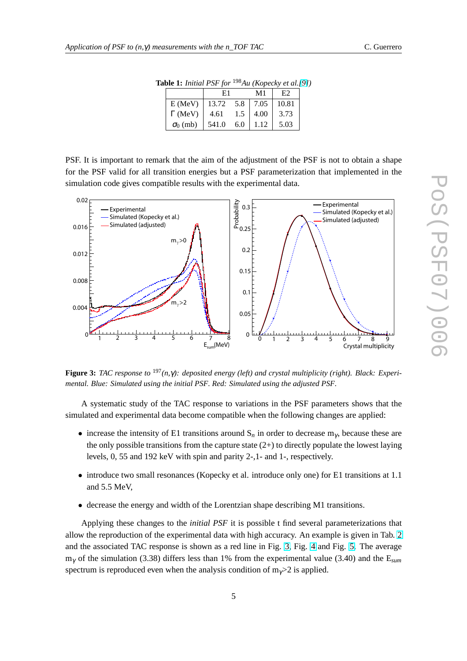| $\mathbf{a}$ <sub>0</sub> $\mathbf{c}$ <b>1.</b> $\mathbf{a}$ $\mathbf{a}$ $\mathbf{a}$ $\mathbf{b}$ $\mathbf{a}$ $\mathbf{b}$ $\mathbf{b}$ |                 |       | $110 \times 110$ pccn $\ell$ cl $0 \cdot$ |      |       |  |
|---------------------------------------------------------------------------------------------------------------------------------------------|-----------------|-------|-------------------------------------------|------|-------|--|
|                                                                                                                                             |                 | E1    |                                           | M1   | Е2    |  |
|                                                                                                                                             | $E$ (MeV)       | 13.72 | 5.8                                       | 7.05 | 10.81 |  |
|                                                                                                                                             | $\Gamma$ (MeV)  | 4.61  | 1.5                                       | 4.00 | 3.73  |  |
|                                                                                                                                             | $\sigma_0$ (mb) | 541.0 | 6.0                                       | 1.12 | 5.03  |  |

**Table 1:** *Initial PSF for* <sup>198</sup>*Au (Kopecky et al.[\[9\]](#page-8-0))*

<span id="page-5-0"></span>PSF. It is important to remark that the aim of the adjustment of the PSF is not to obtain a shape for the PSF valid for all transition energies but a PSF parameterization that implemented in the simulation code gives compatible results with the experimental data.



**Figure 3:** *TAC response to* <sup>197</sup>*(n,*γ*): deposited energy (left) and crystal multiplicity (right). Black: Experimental. Blue: Simulated using the initial PSF. Red: Simulated using the adjusted PSF.*

A systematic study of the TAC response to variations in the PSF parameters shows that the simulated and experimental data become compatible when the following changes are applied:

- increase the intensity of E1 transitions around  $S_n$  in order to decrease  $m_\gamma$ , because these are the only possible transitions from the capture state  $(2+)$  to directly populate the lowest laying levels, 0, 55 and 192 keV with spin and parity 2-,1- and 1-, respectively.
- introduce two small resonances (Kopecky et al. introduce only one) for E1 transitions at 1.1 and 5.5 MeV,
- decrease the energy and width of the Lorentzian shape describing M1 transitions.

Applying these changes to the *initial PSF* it is possible t find several parameterizations that allow the reproduction of the experimental data with high accuracy. An example is given in Tab. [2](#page-6-0) and the associated TAC response is shown as a red line in Fig. 3, Fig. [4](#page-6-0) and Fig. [5.](#page-7-0) The average m<sup>γ</sup> of the simulation (3.38) differs less than 1% from the experimental value (3.40) and the E*sum* spectrum is reproduced even when the analysis condition of  $m_y > 2$  is applied.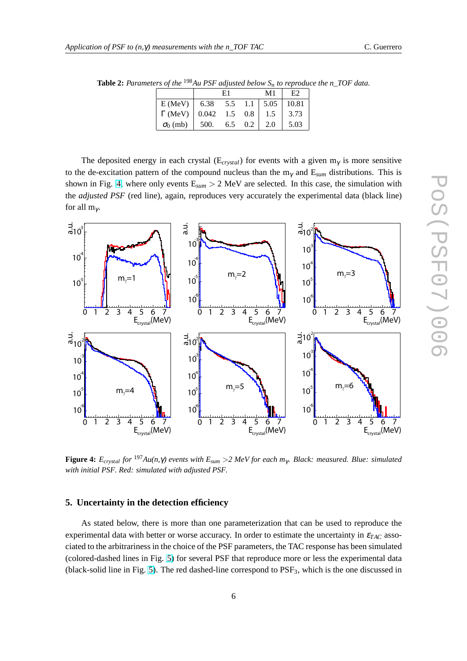|                 |                                                                                              | E1  |         | M1  | Е2   |
|-----------------|----------------------------------------------------------------------------------------------|-----|---------|-----|------|
| E(MeV)          | $\begin{array}{ c c c c c c c c } \hline 6.38 & 5.5 & 1.1 & 5.05 & 10.81 \hline \end{array}$ |     |         |     |      |
| $\Gamma$ (MeV)  | $0.042$ 1.5                                                                                  |     | $0.8\,$ | 1.5 | 3.73 |
| $\sigma_0$ (mb) | 500.                                                                                         | 6.5 | 0.2     | 2.0 | 5.03 |

<span id="page-6-0"></span>**Table 2:** *Parameters of the* <sup>198</sup>*Au PSF adjusted below S<sup>n</sup> to reproduce the n\_TOF data.*

The deposited energy in each crystal ( $E_{crystal}$ ) for events with a given  $m<sub>\gamma</sub>$  is more sensitive to the de-excitation pattern of the compound nucleus than the m<sup>γ</sup> and E*sum* distributions. This is shown in Fig. 4, where only events  $E_{sum} > 2$  MeV are selected. In this case, the simulation with the *adjusted PSF* (red line), again, reproduces very accurately the experimental data (black line) for all  $m_\gamma$ .



**Figure 4:**  $E_{crystal}$  *for* <sup>197</sup> $Au(n, \gamma)$  events with  $E_{sum} > 2$  *MeV for each m<sub>γ</sub>. Black: measured. Blue: simulated with initial PSF. Red: simulated with adjusted PSF.*

## **5. Uncertainty in the detection efficiency**

As stated below, there is more than one parameterization that can be used to reproduce the experimental data with better or worse accuracy. In order to estimate the uncertainty in <sup>ε</sup>*TAC* associated to the arbitrariness in the choice of the PSF parameters, the TAC response has been simulated (colored-dashed lines in Fig. [5\)](#page-7-0) for several PSF that reproduce more or less the experimental data (black-solid line in Fig. [5\)](#page-7-0). The red dashed-line correspond to PSF<sub>3</sub>, which is the one discussed in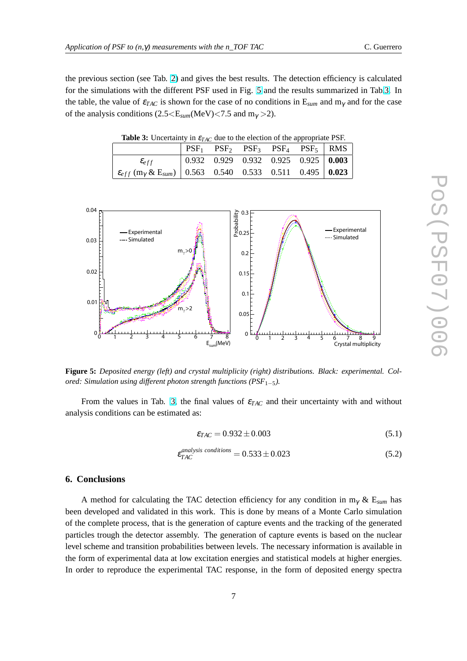<span id="page-7-0"></span>the previous section (see Tab. [2\)](#page-6-0) and gives the best results. The detection efficiency is calculated for the simulations with the different PSF used in Fig. 5 and the results summarized in Tab.3. In the table, the value of  $\varepsilon_{TAC}$  is shown for the case of no conditions in  $E_{sum}$  and  $m_{\gamma}$  and for the case of the analysis conditions  $(2.5 \leq E_{sum}(MeV) \leq 7.5$  and  $m_{\gamma} > 2$ ).

**Table 3:** Uncertainty in  $\varepsilon_{TAC}$  due to the election of the appropriate PSF.

|                                                                                                                           |  |  | $PSF_1$ $PSF_2$ $PSF_3$ $PSF_4$ $PSF_5$   RMS |
|---------------------------------------------------------------------------------------------------------------------------|--|--|-----------------------------------------------|
| $\mathcal{E}_{eff}$                                                                                                       |  |  |                                               |
| $\varepsilon_{eff}$ (m <sub><math>\gamma</math></sub> & E <sub>sum</sub> )   0.563 0.540 0.533 0.511 0.495   <b>0.023</b> |  |  |                                               |



**Figure 5:** *Deposited energy (left) and crystal multiplicity (right) distributions. Black: experimental. Colored: Simulation using different photon strength functions (PSF*1−5*).*

From the values in Tab. 3, the final values of <sup>ε</sup>*TAC* and their uncertainty with and without analysis conditions can be estimated as:

$$
\varepsilon_{TAC} = 0.932 \pm 0.003\tag{5.1}
$$

$$
\varepsilon_{TAC}^{analysis conditions} = 0.533 \pm 0.023 \tag{5.2}
$$

## **6. Conclusions**

A method for calculating the TAC detection efficiency for any condition in m<sup>γ</sup> & E*sum* has been developed and validated in this work. This is done by means of a Monte Carlo simulation of the complete process, that is the generation of capture events and the tracking of the generated particles trough the detector assembly. The generation of capture events is based on the nuclear level scheme and transition probabilities between levels. The necessary information is available in the form of experimental data at low excitation energies and statistical models at higher energies. In order to reproduce the experimental TAC response, in the form of deposited energy spectra